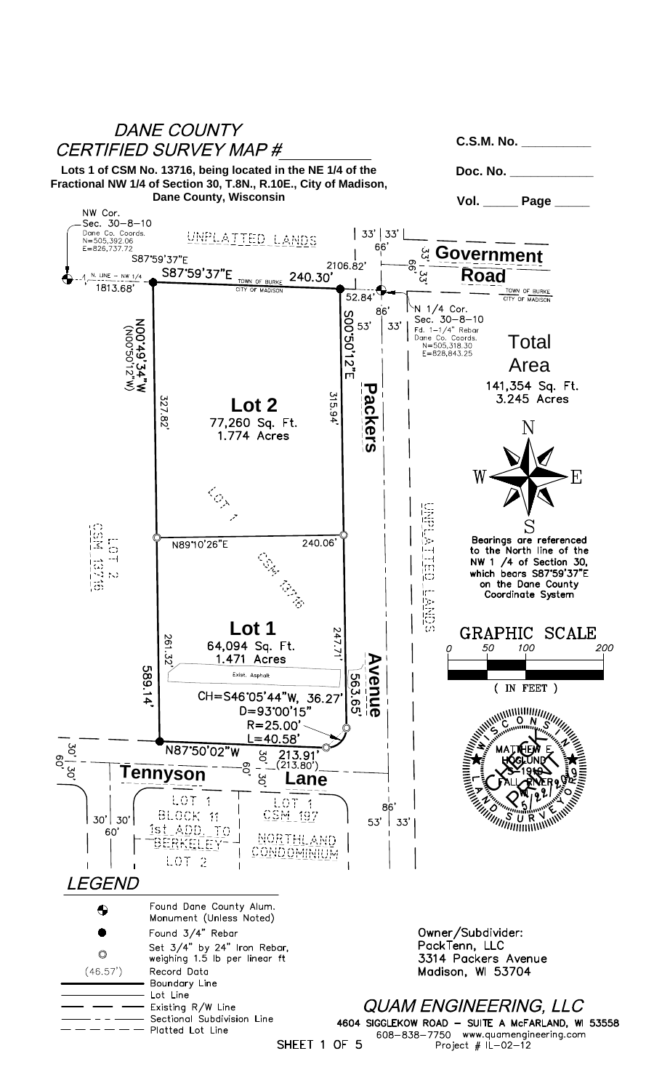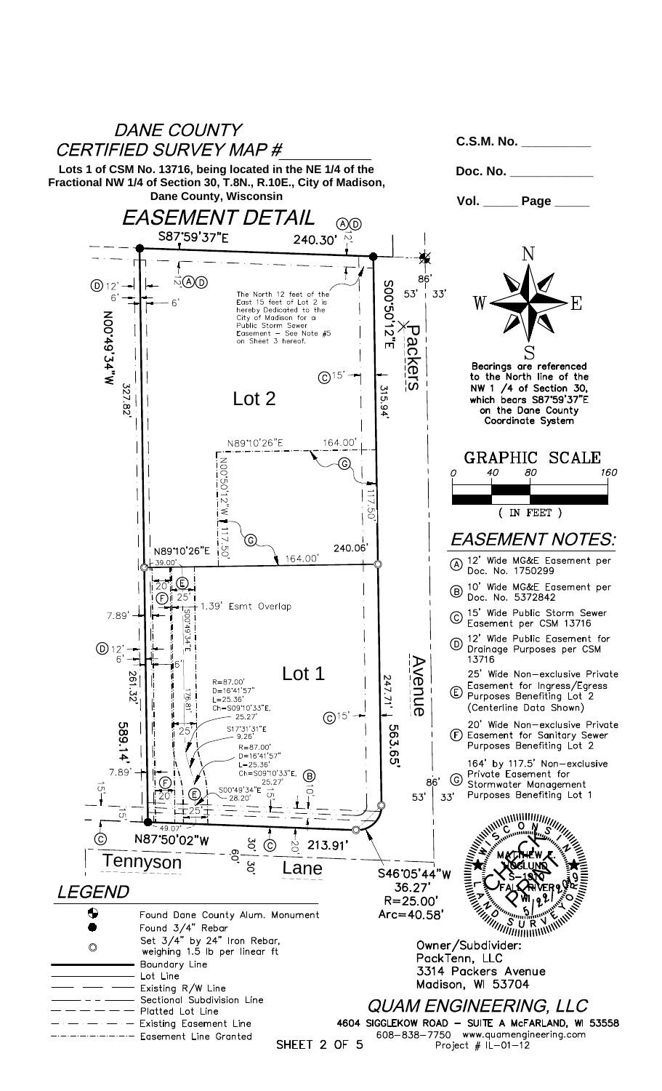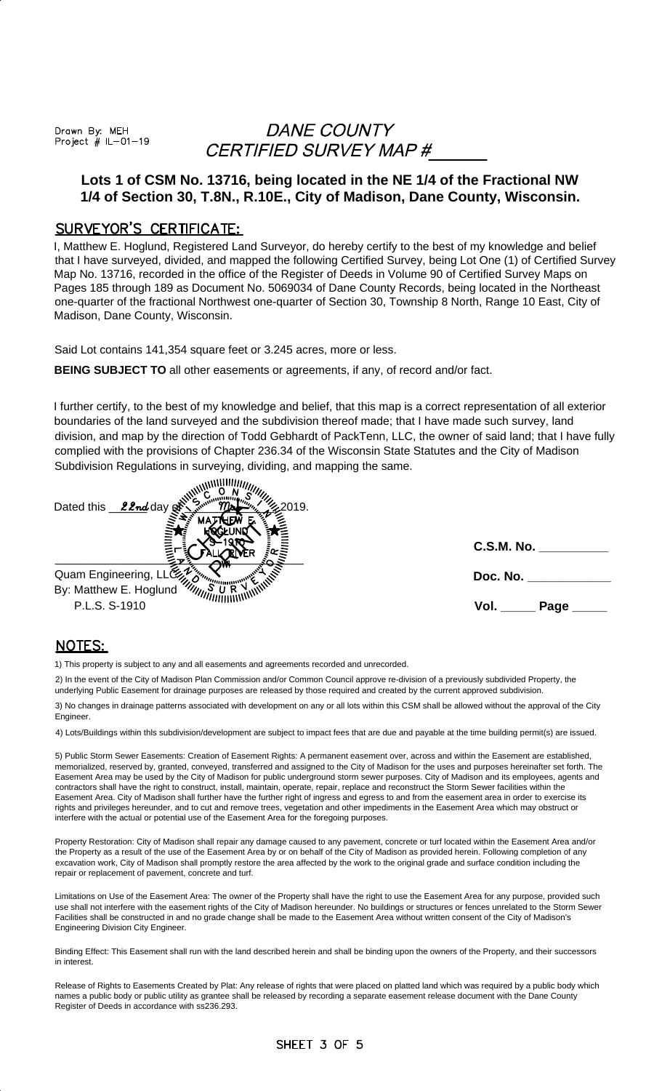Drawn By: MEH Project  $# IL-01-19$ 

## DANE COUNTY CERTIFIED SURVEY MAP #

### **Lots 1 of CSM No. 13716, being located in the NE 1/4 of the Fractional NW 1/4 of Section 30, T.8N., R.10E., City of Madison, Dane County, Wisconsin.**

#### SURVEYOR'S CERTIFICATE:

I, Matthew E. Hoglund, Registered Land Surveyor, do hereby certify to the best of my knowledge and belief that I have surveyed, divided, and mapped the following Certified Survey, being Lot One (1) of Certified Survey Map No. 13716, recorded in the office of the Register of Deeds in Volume 90 of Certified Survey Maps on Pages 185 through 189 as Document No. 5069034 of Dane County Records, being located in the Northeast one-quarter of the fractional Northwest one-quarter of Section 30, Township 8 North, Range 10 East, City of Madison, Dane County, Wisconsin.

Said Lot contains 141,354 square feet or 3.245 acres, more or less.

**BEING SUBJECT TO** all other easements or agreements, if any, of record and/or fact.

I further certify, to the best of my knowledge and belief, that this map is a correct representation of all exterior boundaries of the land surveyed and the subdivision thereof made; that I have made such survey, land division, and map by the direction of Todd Gebhardt of PackTenn, LLC, the owner of said land; that I have fully complied with the provisions of Chapter 236.34 of the Wisconsin State Statutes and the City of Madison Subdivision Regulations in surveying, dividing, and mapping the same.

| Dated this $22nd$ day of<br>.2019.<br>ма |                   |
|------------------------------------------|-------------------|
|                                          | C.S.M. No.        |
| Quam Engineering, LLC22                  | Doc. No.          |
| By: Matthew E. Hoglund<br>P.L.S. S-1910  | Vol.<br>Page $\_$ |

#### **NOTES:**

1) This property is subject to any and all easements and agreements recorded and unrecorded.

2) In the event of the City of Madison Plan Commission and/or Common Council approve re-division of a previously subdivided Property, the underlying Public Easement for drainage purposes are released by those required and created by the current approved subdivision.

3) No changes in drainage patterns associated with development on any or all lots within this CSM shall be allowed without the approval of the City Engineer.

4) Lots/Buildings within thls subdivision/development are subject to impact fees that are due and payable at the time building permit(s) are issued.

5) Public Storm Sewer Easements: Creation of Easement Rights: A permanent easement over, across and within the Easement are established, memorialized, reserved by, granted, conveyed, transferred and assigned to the City of Madison for the uses and purposes hereinafter set forth. The Easement Area may be used by the City of Madison for public underground storm sewer purposes. City of Madison and its employees, agents and contractors shall have the right to construct, install, maintain, operate, repair, replace and reconstruct the Storm Sewer facilities within the Easement Area. City of Madison shall further have the further right of ingress and egress to and from the easement area in order to exercise its rights and privileges hereunder, and to cut and remove trees, vegetation and other impediments in the Easement Area which may obstruct or interfere with the actual or potential use of the Easement Area for the foregoing purposes.

Property Restoration: City of Madison shall repair any damage caused to any pavement, concrete or turf located within the Easement Area and/or the Property as a result of the use of the Easement Area by or on behalf of the City of Madison as provided herein. Following completion of any excavation work, City of Madison shall promptly restore the area affected by the work to the original grade and surface condition including the repair or replacement of pavement, concrete and turf.

Limitations on Use of the Easement Area: The owner of the Property shall have the right to use the Easement Area for any purpose, provided such use shall not interfere with the easement rights of the City of Madison hereunder. No buildings or structures or fences unrelated to the Storm Sewer Facilities shall be constructed in and no grade change shall be made to the Easement Area without written consent of the City of Madison's Engineering Division City Engineer.

Binding Effect: This Easement shall run with the land described herein and shall be binding upon the owners of the Property, and their successors in interest.

Release of Rights to Easements Created by Plat: Any release of rights that were placed on platted land which was required by a public body which names a public body or public utility as grantee shall be released by recording a separate easement release document with the Dane County Register of Deeds in accordance with ss236.293.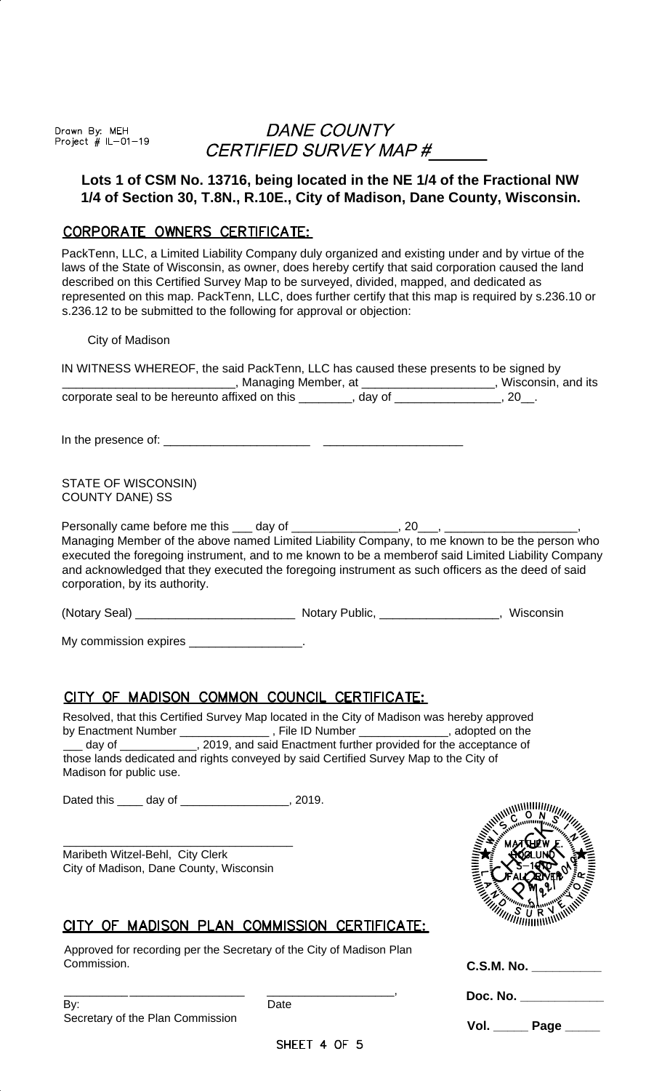Drawn By: MEH<br>Project # IL-01-19

# DANE COUNTY CERTIFIED SURVEY MAP #

### **Lots 1 of CSM No. 13716, being located in the NE 1/4 of the Fractional NW 1/4 of Section 30, T.8N., R.10E., City of Madison, Dane County, Wisconsin.**

### CORPORATE OWNERS CERTIFICATE:

PackTenn, LLC, a Limited Liability Company duly organized and existing under and by virtue of the laws of the State of Wisconsin, as owner, does hereby certify that said corporation caused the land described on this Certified Survey Map to be surveyed, divided, mapped, and dedicated as represented on this map. PackTenn, LLC, does further certify that this map is required by s.236.10 or s.236.12 to be submitted to the following for approval or objection:

City of Madison

| IN WITNESS WHEREOF, the said PackTenn, LLC has caused these presents to be signed by<br>Managing Member, at ______________, Wisconsin, and its                                                                                                                                                                                                                                                                                                        |                 |
|-------------------------------------------------------------------------------------------------------------------------------------------------------------------------------------------------------------------------------------------------------------------------------------------------------------------------------------------------------------------------------------------------------------------------------------------------------|-----------------|
| corporate seal to be hereunto affixed on this ________, day of _____________, 20_.                                                                                                                                                                                                                                                                                                                                                                    |                 |
|                                                                                                                                                                                                                                                                                                                                                                                                                                                       |                 |
| STATE OF WISCONSIN)<br><b>COUNTY DANE) SS</b>                                                                                                                                                                                                                                                                                                                                                                                                         |                 |
| Managing Member of the above named Limited Liability Company, to me known to be the person who<br>executed the foregoing instrument, and to me known to be a memberof said Limited Liability Company<br>and acknowledged that they executed the foregoing instrument as such officers as the deed of said<br>corporation, by its authority.                                                                                                           |                 |
|                                                                                                                                                                                                                                                                                                                                                                                                                                                       |                 |
| My commission expires ___________________.                                                                                                                                                                                                                                                                                                                                                                                                            |                 |
| <u>CITY OF MADISON COMMON COUNCIL CERTIFICATE:</u><br>Resolved, that this Certified Survey Map located in the City of Madison was hereby approved<br>by Enactment Number ________________, File ID Number _____________, adopted on the<br>day of ______________, 2019, and said Enactment further provided for the acceptance of<br>those lands dedicated and rights conveyed by said Certified Survey Map to the City of<br>Madison for public use. |                 |
| Dated this _____ day of __________________, 2019.                                                                                                                                                                                                                                                                                                                                                                                                     | $5.000$ M $5\%$ |
| Maribeth Witzel-Behl, City Clerk<br>City of Madison, Dane County, Wisconsin                                                                                                                                                                                                                                                                                                                                                                           |                 |
| OF MADISON PLAN COMMISSION CERTIFICATE:                                                                                                                                                                                                                                                                                                                                                                                                               |                 |
| Approved for recording per the Secretary of the City of Madison Plan<br>Commission.                                                                                                                                                                                                                                                                                                                                                                   | C.S.M. No.      |

| By:                              | Date |
|----------------------------------|------|
| Secretary of the Plan Commission |      |

\_\_\_\_\_\_\_\_\_\_ \_\_\_\_\_\_\_\_\_\_\_\_\_\_\_\_\_\_ \_\_\_\_\_\_\_\_\_\_\_\_\_\_\_\_\_\_\_\_,

**Doc. No. \_\_\_\_\_\_\_\_\_\_\_\_**

**Vol. \_\_\_\_\_ Page \_\_\_\_\_**